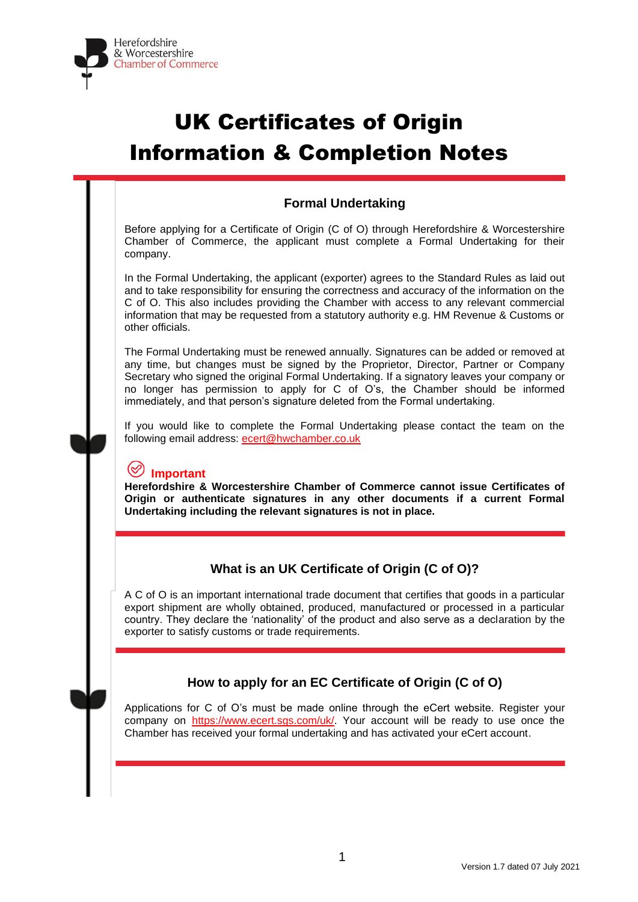

# UK Certificates of Origin Information & Completion Notes

# **Formal Undertaking**

Before applying for a Certificate of Origin (C of O) through Herefordshire & Worcestershire Chamber of Commerce, the applicant must complete a Formal Undertaking for their company.

In the Formal Undertaking, the applicant (exporter) agrees to the Standard Rules as laid out and to take responsibility for ensuring the correctness and accuracy of the information on the C of O. This also includes providing the Chamber with access to any relevant commercial information that may be requested from a statutory authority e.g. HM Revenue & Customs or other officials.

The Formal Undertaking must be renewed annually. Signatures can be added or removed at any time, but changes must be signed by the Proprietor, Director, Partner or Company Secretary who signed the original Formal Undertaking. If a signatory leaves your company or no longer has permission to apply for C of O's, the Chamber should be informed immediately, and that person's signature deleted from the Formal undertaking.

If you would like to complete the Formal Undertaking please contact the team on the following email address: [ecert@hwchamber.co.uk](mailto:ecert@hwchamber.co.uk)

# **Important**

**Herefordshire & Worcestershire Chamber of Commerce cannot issue Certificates of Origin or authenticate signatures in any other documents if a current Formal Undertaking including the relevant signatures is not in place.**

## **What is an UK Certificate of Origin (C of O)?**

A C of O is an important international trade document that certifies that goods in a particular export shipment are wholly obtained, produced, manufactured or processed in a particular country. They declare the 'nationality' of the product and also serve as a declaration by the exporter to satisfy customs or trade requirements.

# **How to apply for an EC Certificate of Origin (C of O)**

Applications for C of O's must be made online through the eCert website. Register your company on [https://www.ecert.sgs.com/uk/.](https://www.ecert.sgs.com/uk/) Your account will be ready to use once the Chamber has received your formal undertaking and has activated your eCert account.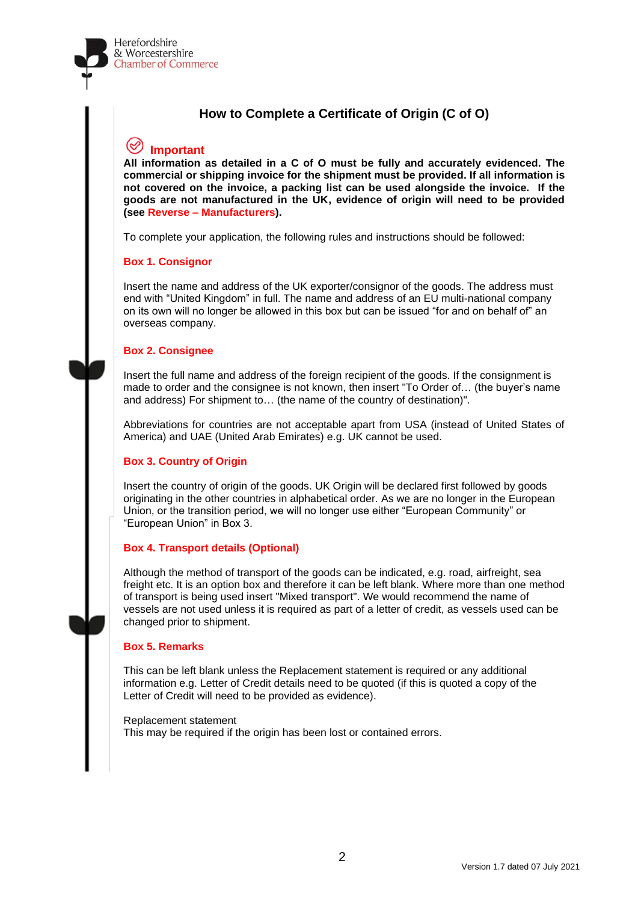# **How to Complete a Certificate of Origin (C of O)**

# **Important**

**All information as detailed in a C of O must be fully and accurately evidenced. The commercial or shipping invoice for the shipment must be provided. If all information is not covered on the invoice, a packing list can be used alongside the invoice. If the goods are not manufactured in the UK, evidence of origin will need to be provided (see Reverse – Manufacturers).**

To complete your application, the following rules and instructions should be followed:

#### **Box 1. Consignor**

Insert the name and address of the UK exporter/consignor of the goods. The address must end with "United Kingdom" in full. The name and address of an EU multi-national company on its own will no longer be allowed in this box but can be issued "for and on behalf of" an overseas company.

#### **Box 2. Consignee**

Insert the full name and address of the foreign recipient of the goods. If the consignment is made to order and the consignee is not known, then insert "To Order of… (the buyer's name and address) For shipment to… (the name of the country of destination)".

Abbreviations for countries are not acceptable apart from USA (instead of United States of America) and UAE (United Arab Emirates) e.g. UK cannot be used.

#### **Box 3. Country of Origin**

Insert the country of origin of the goods. UK Origin will be declared first followed by goods originating in the other countries in alphabetical order. As we are no longer in the European Union, or the transition period, we will no longer use either "European Community" or "European Union" in Box 3.

#### **Box 4. Transport details (Optional)**

Although the method of transport of the goods can be indicated, e.g. road, airfreight, sea freight etc. It is an option box and therefore it can be left blank. Where more than one method of transport is being used insert "Mixed transport". We would recommend the name of vessels are not used unless it is required as part of a letter of credit, as vessels used can be changed prior to shipment.

#### **Box 5. Remarks**

This can be left blank unless the Replacement statement is required or any additional information e.g. Letter of Credit details need to be quoted (if this is quoted a copy of the Letter of Credit will need to be provided as evidence).

Replacement statement This may be required if the origin has been lost or contained errors.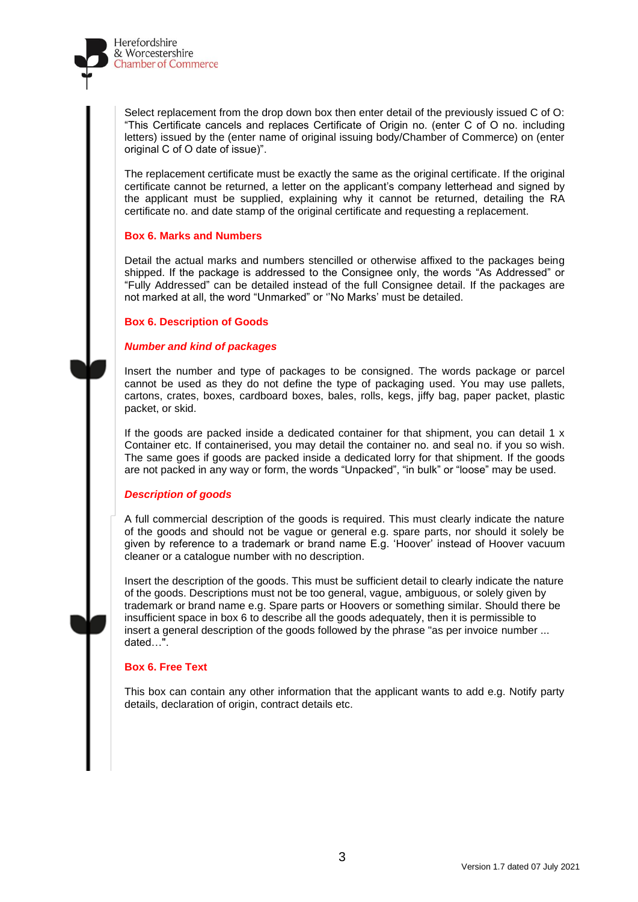

Select replacement from the drop down box then enter detail of the previously issued C of O: "This Certificate cancels and replaces Certificate of Origin no. (enter C of O no. including letters) issued by the (enter name of original issuing body/Chamber of Commerce) on (enter original C of O date of issue)".

The replacement certificate must be exactly the same as the original certificate. If the original certificate cannot be returned, a letter on the applicant's company letterhead and signed by the applicant must be supplied, explaining why it cannot be returned, detailing the RA certificate no. and date stamp of the original certificate and requesting a replacement.

#### **Box 6. Marks and Numbers**

Detail the actual marks and numbers stencilled or otherwise affixed to the packages being shipped. If the package is addressed to the Consignee only, the words "As Addressed" or "Fully Addressed" can be detailed instead of the full Consignee detail. If the packages are not marked at all, the word "Unmarked" or ''No Marks' must be detailed.

#### **Box 6. Description of Goods**

#### *Number and kind of packages*

Insert the number and type of packages to be consigned. The words package or parcel cannot be used as they do not define the type of packaging used. You may use pallets, cartons, crates, boxes, cardboard boxes, bales, rolls, kegs, jiffy bag, paper packet, plastic packet, or skid.

If the goods are packed inside a dedicated container for that shipment, you can detail  $1 \times$ Container etc. If containerised, you may detail the container no. and seal no. if you so wish. The same goes if goods are packed inside a dedicated lorry for that shipment. If the goods are not packed in any way or form, the words "Unpacked", "in bulk" or "loose" may be used.

#### *Description of goods*

A full commercial description of the goods is required. This must clearly indicate the nature of the goods and should not be vague or general e.g. spare parts, nor should it solely be given by reference to a trademark or brand name E.g. 'Hoover' instead of Hoover vacuum cleaner or a catalogue number with no description.

Insert the description of the goods. This must be sufficient detail to clearly indicate the nature of the goods. Descriptions must not be too general, vague, ambiguous, or solely given by trademark or brand name e.g. Spare parts or Hoovers or something similar. Should there be insufficient space in box 6 to describe all the goods adequately, then it is permissible to insert a general description of the goods followed by the phrase "as per invoice number ... dated…".

#### **Box 6. Free Text**

This box can contain any other information that the applicant wants to add e.g. Notify party details, declaration of origin, contract details etc.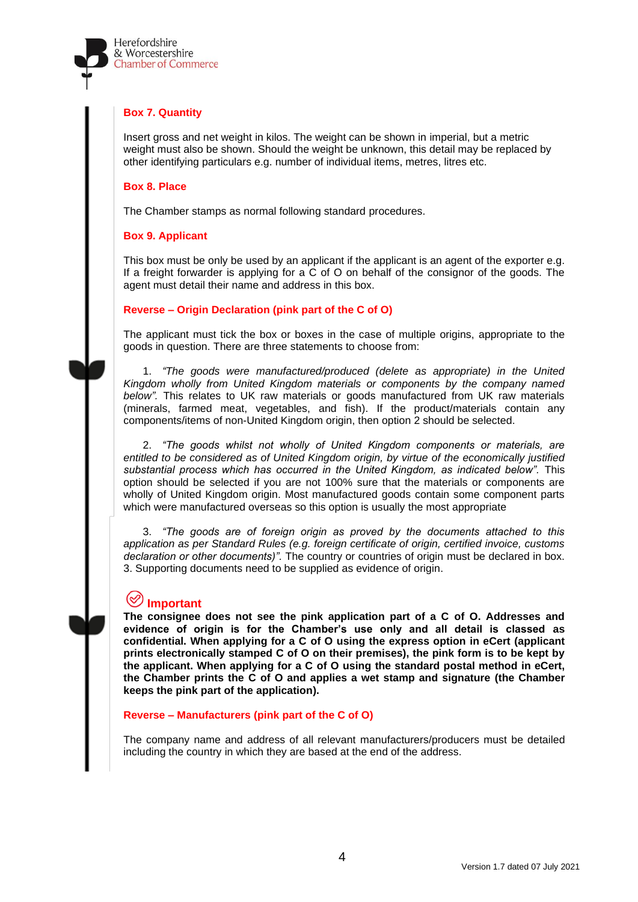

#### **Box 7. Quantity**

Insert gross and net weight in kilos. The weight can be shown in imperial, but a metric weight must also be shown. Should the weight be unknown, this detail may be replaced by other identifying particulars e.g. number of individual items, metres, litres etc.

#### **Box 8. Place**

The Chamber stamps as normal following standard procedures.

#### **Box 9. Applicant**

This box must be only be used by an applicant if the applicant is an agent of the exporter e.g. If a freight forwarder is applying for a C of O on behalf of the consignor of the goods. The agent must detail their name and address in this box.

#### **Reverse – Origin Declaration (pink part of the C of O)**

The applicant must tick the box or boxes in the case of multiple origins, appropriate to the goods in question. There are three statements to choose from:

1. *"The goods were manufactured/produced (delete as appropriate) in the United Kingdom wholly from United Kingdom materials or components by the company named below".* This relates to UK raw materials or goods manufactured from UK raw materials (minerals, farmed meat, vegetables, and fish). If the product/materials contain any components/items of non-United Kingdom origin, then option 2 should be selected.

2. *"The goods whilst not wholly of United Kingdom components or materials, are entitled to be considered as of United Kingdom origin, by virtue of the economically justified substantial process which has occurred in the United Kingdom, as indicated below".* This option should be selected if you are not 100% sure that the materials or components are wholly of United Kingdom origin. Most manufactured goods contain some component parts which were manufactured overseas so this option is usually the most appropriate

3. *"The goods are of foreign origin as proved by the documents attached to this application as per Standard Rules (e.g. foreign certificate of origin, certified invoice, customs declaration or other documents)".* The country or countries of origin must be declared in box. 3. Supporting documents need to be supplied as evidence of origin.

#### (≪ **Important**

**The consignee does not see the pink application part of a C of O. Addresses and evidence of origin is for the Chamber's use only and all detail is classed as confidential. When applying for a C of O using the express option in eCert (applicant prints electronically stamped C of O on their premises), the pink form is to be kept by the applicant. When applying for a C of O using the standard postal method in eCert, the Chamber prints the C of O and applies a wet stamp and signature (the Chamber keeps the pink part of the application).**

#### **Reverse – Manufacturers (pink part of the C of O)**

The company name and address of all relevant manufacturers/producers must be detailed including the country in which they are based at the end of the address.